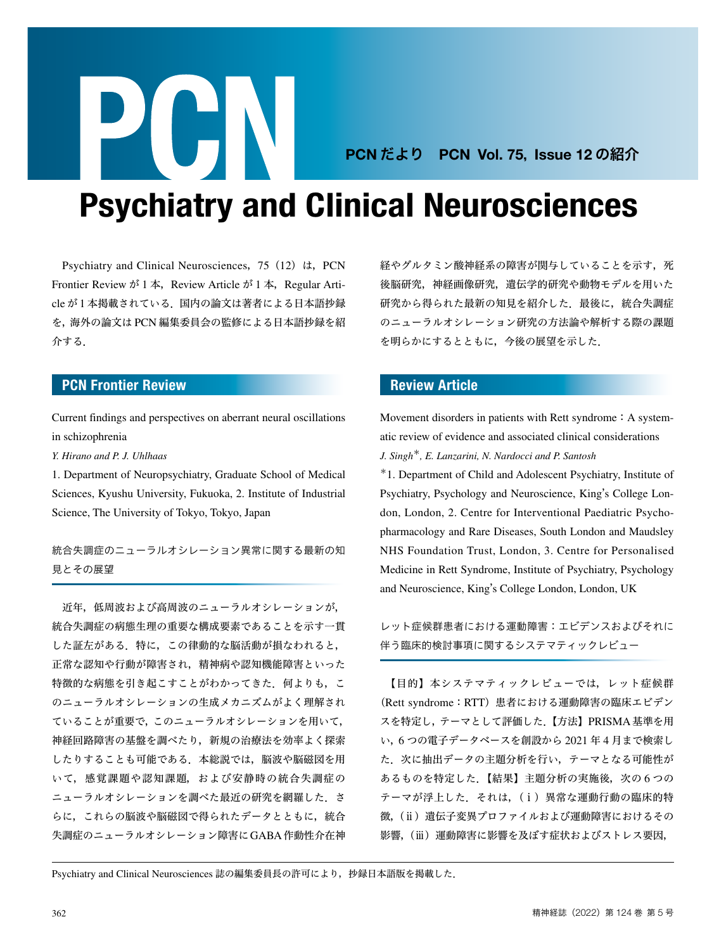## PCN だより PCN Vol. 75, Issue 12 の紹介

# Psychiatry and Clinical Neurosciences

Psychiatry and Clinical Neurosciences,75(12)は,PCN Frontier Review が 1 本, Review Article が 1 本, Regular Article が 1 本掲載されている.国内の論文は著者による日本語抄録 を,海外の論文は PCN 編集委員会の監修による日本語抄録を紹 介する.

**PURN** 

#### PCN Frontier Review

Current findings and perspectives on aberrant neural oscillations in schizophrenia

*Y. Hirano and P. J. Uhlhaas*

1. Department of Neuropsychiatry, Graduate School of Medical Sciences, Kyushu University, Fukuoka, 2. Institute of Industrial Science, The University of Tokyo, Tokyo, Japan

統合失調症のニューラルオシレーション異常に関する最新の知 見とその展望

 近年,低周波および高周波のニューラルオシレーションが, 統合失調症の病態生理の重要な構成要素であることを示す一貫 した証左がある.特に,この律動的な脳活動が損なわれると, 正常な認知や行動が障害され,精神病や認知機能障害といった 特徴的な病態を引き起こすことがわかってきた。何よりも、こ のニューラルオシレーションの生成メカニズムがよく理解され ていることが重要で,このニューラルオシレーションを用いて, 神経回路障害の基盤を調べたり,新規の治療法を効率よく探索 したりすることも可能である. 本総説では、脳波や脳磁図を用 いて,感覚課題や認知課題,および安静時の統合失調症の **ニューラルオシレーションを調べた最近の研究を網羅した. さ** らに,これらの脳波や脳磁図で得られたデータとともに,統合 失調症のニューラルオシレーション障害にGABA作動性介在神 経やグルタミン酸神経系の障害が関与していることを示す、死 後脳研究,神経画像研究,遺伝学的研究や動物モデルを用いた 研究から得られた最新の知見を紹介した. 最後に,統合失調症 のニューラルオシレーション研究の方法論や解析する際の課題 を明らかにするとともに,今後の展望を示した.

#### Review Article

Movement disorders in patients with Rett syndrome: A systematic review of evidence and associated clinical considerations *J. Singh*\**, E. Lanzarini, N. Nardocci and P. Santosh*

\*1. Department of Child and Adolescent Psychiatry, Institute of Psychiatry, Psychology and Neuroscience, King's College London, London, 2. Centre for Interventional Paediatric Psychopharmacology and Rare Diseases, South London and Maudsley NHS Foundation Trust, London, 3. Centre for Personalised Medicine in Rett Syndrome, Institute of Psychiatry, Psychology and Neuroscience, King's College London, London, UK

レット症候群患者における運動障害:エビデンスおよびそれに 伴う臨床的検討事項に関するシステマティックレビュー

 【目的】本システマティックレビューでは,レット症候群 (Rett syndrome:RTT)患者における運動障害の臨床エビデン スを特定し,テーマとして評価した.【方法】PRISMA基準を用 い,6 つの電子データベースを創設から 2021 年 4 月まで検索し た.次に抽出データの主題分析を行い,テーマとなる可能性が あるものを特定した. 【結果】主題分析の実施後, 次の 6 つの テーマが浮上した.それは,(ⅰ)異常な運動行動の臨床的特 徴,(ⅱ)遺伝子変異プロファイルおよび運動障害におけるその 影響,(ⅲ)運動障害に影響を及ぼす症状およびストレス要因,

Psychiatry and Clinical Neurosciences 誌の編集委員長の許可により,抄録日本語版を掲載した.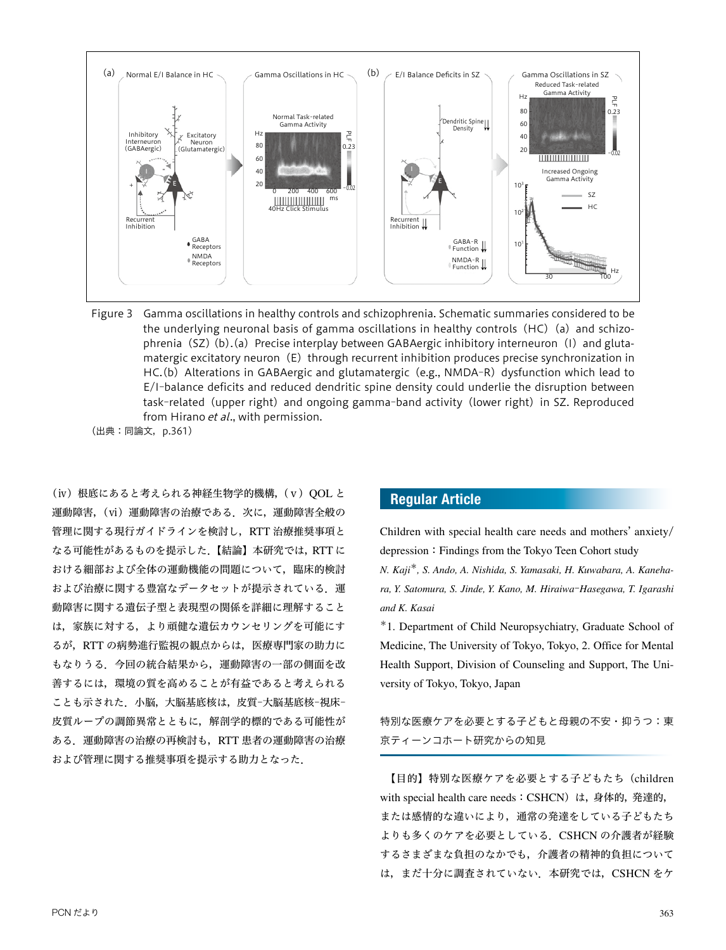

Figure 3 Gamma oscillations in healthy controls and schizophrenia. Schematic summaries considered to be the underlying neuronal basis of gamma oscillations in healthy controls  $(HC)$  (a) and schizophrenia (SZ)(b).(a) Precise interplay between GABAergic inhibitory interneuron(I) and glutamatergic excitatory neuron $(E)$  through recurrent inhibition produces precise synchronization in HC.(b) Alterations in GABAergic and glutamatergic (e.g., NMDA-R) dysfunction which lead to E/I—balance deficits and reduced dendritic spine density could underlie the disruption between task-related (upper right) and ongoing gamma-band activity (lower right) in SZ. Reproduced from Hirano et al., with permission.

(出典:同論文,p.361)

(ⅳ)根底にあると考えられる神経生物学的機構,(ⅴ)QOL と 運動障害,(vi)運動障害の治療である. 次に,運動障害全般の 管理に関する現行ガイドラインを検討し,RTT 治療推奨事項と なる可能性があるものを提示した.【結論】本研究では,RTT に おける細部および全体の運動機能の問題について,臨床的検討 および治療に関する豊富なデータセットが提示されている。運 動障害に関する遺伝子型と表現型の関係を詳細に理解すること は,家族に対する,より頑健な遺伝カウンセリングを可能にす るが, RTT の病勢進行監視の観点からは、医療専門家の助力に もなりうる.今回の統合結果から,運動障害の一部の側面を改 善するには,環境の質を高めることが有益であると考えられる ことも示された. 小脳,大脳基底核は,皮質-大脳基底核-視床-皮質ループの調節異常とともに,解剖学的標的である可能性が ある.運動障害の治療の再検討も,RTT 患者の運動障害の治療 および管理に関する推奨事項を提示する助力となった.

### Regular Article

Children with special health care needs and mothers' anxiety/ depression: Findings from the Tokyo Teen Cohort study

*N. Kaji*\**, S. Ando, A. Nishida, S. Yamasaki, H. Kuwabara, A. Kanehara, Y. Satomura, S. Jinde, Y. Kano, M. Hiraiwa*‒*Hasegawa, T. Igarashi and K. Kasai*

\*1. Department of Child Neuropsychiatry, Graduate School of Medicine, The University of Tokyo, Tokyo, 2. Office for Mental Health Support, Division of Counseling and Support, The University of Tokyo, Tokyo, Japan

特別な医療ケアを必要とする子どもと母親の不安・抑うつ:東 京ティーンコホート研究からの知見

 【目的】特別な医療ケアを必要とする子どもたち(children with special health care needs: CSHCN) は、身体的,発達的, または感情的な違いにより,通常の発達をしている子どもたち よりも多くのケアを必要としている.CSHCN の介護者が経験 するさまざまな負担のなかでも,介護者の精神的負担について は、まだ十分に調査されていない. 本研究では、CSHCN をケ